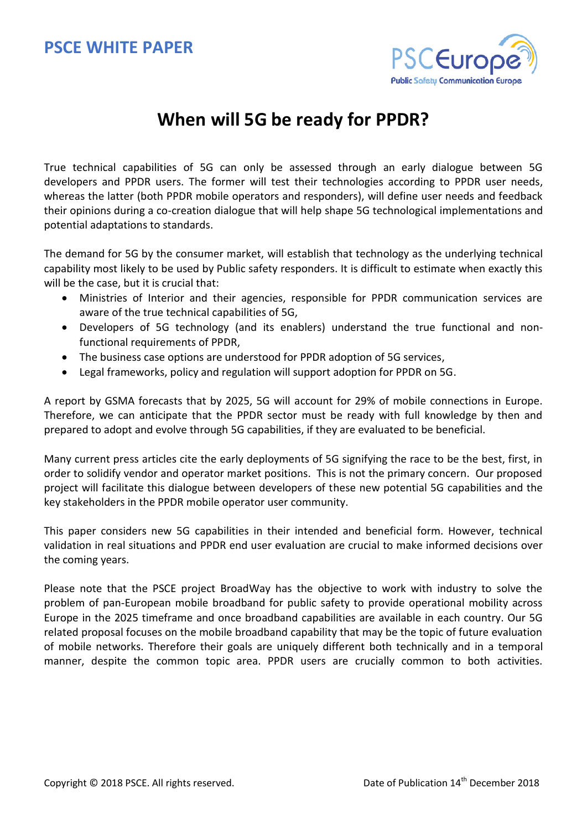# **PSCE WHITE PAPER**



# **When will 5G be ready for PPDR?**

True technical capabilities of 5G can only be assessed through an early dialogue between 5G developers and PPDR users. The former will test their technologies according to PPDR user needs, whereas the latter (both PPDR mobile operators and responders), will define user needs and feedback their opinions during a co-creation dialogue that will help shape 5G technological implementations and potential adaptations to standards.

The demand for 5G by the consumer market, will establish that technology as the underlying technical capability most likely to be used by Public safety responders. It is difficult to estimate when exactly this will be the case, but it is crucial that:

- Ministries of Interior and their agencies, responsible for PPDR communication services are aware of the true technical capabilities of 5G,
- Developers of 5G technology (and its enablers) understand the true functional and nonfunctional requirements of PPDR,
- The business case options are understood for PPDR adoption of 5G services,
- Legal frameworks, policy and regulation will support adoption for PPDR on 5G.

A report by GSMA forecasts that by 2025, 5G will account for 29% of mobile connections in Europe. Therefore, we can anticipate that the PPDR sector must be ready with full knowledge by then and prepared to adopt and evolve through 5G capabilities, if they are evaluated to be beneficial.

Many current press articles cite the early deployments of 5G signifying the race to be the best, first, in order to solidify vendor and operator market positions. This is not the primary concern. Our proposed project will facilitate this dialogue between developers of these new potential 5G capabilities and the key stakeholders in the PPDR mobile operator user community.

This paper considers new 5G capabilities in their intended and beneficial form. However, technical validation in real situations and PPDR end user evaluation are crucial to make informed decisions over the coming years.

Please note that the PSCE project BroadWay has the objective to work with industry to solve the problem of pan-European mobile broadband for public safety to provide operational mobility across Europe in the 2025 timeframe and once broadband capabilities are available in each country. Our 5G related proposal focuses on the mobile broadband capability that may be the topic of future evaluation of mobile networks. Therefore their goals are uniquely different both technically and in a temporal manner, despite the common topic area. PPDR users are crucially common to both activities.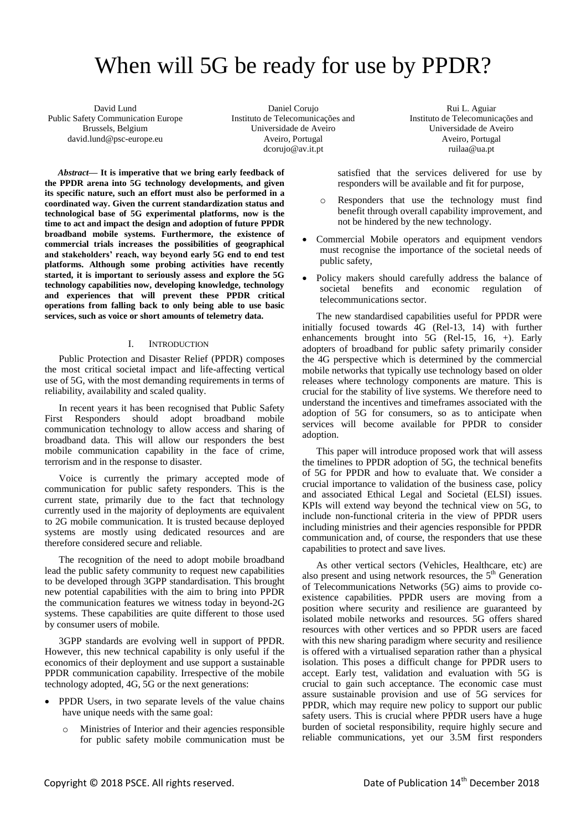# When will 5G be ready for use by PPDR?

David Lund Public Safety Communication Europe Brussels, Belgium david.lund@psc-europe.eu

Daniel Corujo Instituto de Telecomunicações and Universidade de Aveiro Aveiro, Portugal dcorujo@av.it.pt

Rui L. Aguiar Instituto de Telecomunicações and Universidade de Aveiro Aveiro, Portugal ruilaa@ua.pt

*Abstract***— It is imperative that we bring early feedback of the PPDR arena into 5G technology developments, and given its specific nature, such an effort must also be performed in a coordinated way. Given the current standardization status and technological base of 5G experimental platforms, now is the time to act and impact the design and adoption of future PPDR broadband mobile systems. Furthermore, the existence of commercial trials increases the possibilities of geographical and stakeholders' reach, way beyond early 5G end to end test platforms. Although some probing activities have recently started, it is important to seriously assess and explore the 5G technology capabilities now, developing knowledge, technology and experiences that will prevent these PPDR critical operations from falling back to only being able to use basic services, such as voice or short amounts of telemetry data.** 

#### I. INTRODUCTION

Public Protection and Disaster Relief (PPDR) composes the most critical societal impact and life-affecting vertical use of 5G, with the most demanding requirements in terms of reliability, availability and scaled quality.

In recent years it has been recognised that Public Safety First Responders should adopt broadband mobile communication technology to allow access and sharing of broadband data. This will allow our responders the best mobile communication capability in the face of crime, terrorism and in the response to disaster.

Voice is currently the primary accepted mode of communication for public safety responders. This is the current state, primarily due to the fact that technology currently used in the majority of deployments are equivalent to 2G mobile communication. It is trusted because deployed systems are mostly using dedicated resources and are therefore considered secure and reliable.

The recognition of the need to adopt mobile broadband lead the public safety community to request new capabilities to be developed through 3GPP standardisation. This brought new potential capabilities with the aim to bring into PPDR the communication features we witness today in beyond-2G systems. These capabilities are quite different to those used by consumer users of mobile.

3GPP standards are evolving well in support of PPDR. However, this new technical capability is only useful if the economics of their deployment and use support a sustainable PPDR communication capability. Irrespective of the mobile technology adopted, 4G, 5G or the next generations:

- PPDR Users, in two separate levels of the value chains have unique needs with the same goal:
	- o Ministries of Interior and their agencies responsible for public safety mobile communication must be

satisfied that the services delivered for use by responders will be available and fit for purpose,

- o Responders that use the technology must find benefit through overall capability improvement, and not be hindered by the new technology.
- Commercial Mobile operators and equipment vendors must recognise the importance of the societal needs of public safety,
- Policy makers should carefully address the balance of societal benefits and economic regulation of telecommunications sector.

The new standardised capabilities useful for PPDR were initially focused towards 4G (Rel-13, 14) with further enhancements brought into 5G (Rel-15, 16, +). Early adopters of broadband for public safety primarily consider the 4G perspective which is determined by the commercial mobile networks that typically use technology based on older releases where technology components are mature. This is crucial for the stability of live systems. We therefore need to understand the incentives and timeframes associated with the adoption of 5G for consumers, so as to anticipate when services will become available for PPDR to consider adoption.

This paper will introduce proposed work that will assess the timelines to PPDR adoption of 5G, the technical benefits of 5G for PPDR and how to evaluate that. We consider a crucial importance to validation of the business case, policy and associated Ethical Legal and Societal (ELSI) issues. KPIs will extend way beyond the technical view on 5G, to include non-functional criteria in the view of PPDR users including ministries and their agencies responsible for PPDR communication and, of course, the responders that use these capabilities to protect and save lives.

As other vertical sectors (Vehicles, Healthcare, etc) are also present and using network resources, the 5<sup>th</sup> Generation of Telecommunications Networks (5G) aims to provide coexistence capabilities. PPDR users are moving from a position where security and resilience are guaranteed by isolated mobile networks and resources. 5G offers shared resources with other vertices and so PPDR users are faced with this new sharing paradigm where security and resilience is offered with a virtualised separation rather than a physical isolation. This poses a difficult change for PPDR users to accept. Early test, validation and evaluation with 5G is crucial to gain such acceptance. The economic case must assure sustainable provision and use of 5G services for PPDR, which may require new policy to support our public safety users. This is crucial where PPDR users have a huge burden of societal responsibility, require highly secure and reliable communications, yet our 3.5M first responders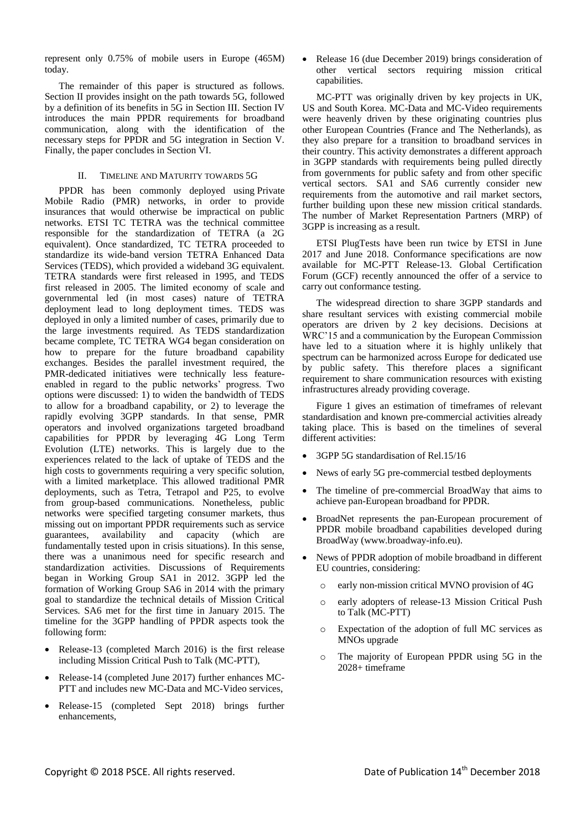represent only 0.75% of mobile users in Europe (465M) today.

The remainder of this paper is structured as follows. Section II provides insight on the path towards 5G, followed by a definition of its benefits in 5G in Section III. Section IV introduces the main PPDR requirements for broadband communication, along with the identification of the necessary steps for PPDR and 5G integration in Section V. Finally, the paper concludes in Section VI.

#### II. TIMELINE AND MATURITY TOWARDS 5G

PPDR has been commonly deployed using Private Mobile Radio (PMR) networks, in order to provide insurances that would otherwise be impractical on public networks. ETSI TC TETRA was the technical committee responsible for the standardization of TETRA (a 2G equivalent). Once standardized, TC TETRA proceeded to standardize its wide-band version TETRA Enhanced Data Services (TEDS), which provided a wideband 3G equivalent. TETRA standards were first released in 1995, and TEDS first released in 2005. The limited economy of scale and governmental led (in most cases) nature of TETRA deployment lead to long deployment times. TEDS was deployed in only a limited number of cases, primarily due to the large investments required. As TEDS standardization became complete, TC TETRA WG4 began consideration on how to prepare for the future broadband capability exchanges. Besides the parallel investment required, the PMR-dedicated initiatives were technically less featureenabled in regard to the public networks' progress. Two options were discussed: 1) to widen the bandwidth of TEDS to allow for a broadband capability, or 2) to leverage the rapidly evolving 3GPP standards. In that sense, PMR operators and involved organizations targeted broadband capabilities for PPDR by leveraging 4G Long Term Evolution (LTE) networks. This is largely due to the experiences related to the lack of uptake of TEDS and the high costs to governments requiring a very specific solution, with a limited marketplace. This allowed traditional PMR deployments, such as Tetra, Tetrapol and P25, to evolve from group-based communications. Nonetheless, public networks were specified targeting consumer markets, thus missing out on important PPDR requirements such as service guarantees, availability and capacity (which are fundamentally tested upon in crisis situations). In this sense, there was a unanimous need for specific research and standardization activities. Discussions of Requirements began in Working Group SA1 in 2012. 3GPP led the formation of Working Group SA6 in 2014 with the primary goal to standardize the technical details of Mission Critical Services. SA6 met for the first time in January 2015. The timeline for the 3GPP handling of PPDR aspects took the following form:

- Release-13 (completed March 2016) is the first release including Mission Critical Push to Talk (MC-PTT),
- Release-14 (completed June 2017) further enhances MC-PTT and includes new MC-Data and MC-Video services,
- Release-15 (completed Sept 2018) brings further enhancements,

• Release 16 (due December 2019) brings consideration of other vertical sectors requiring mission critical capabilities.

MC-PTT was originally driven by key projects in UK, US and South Korea. MC-Data and MC-Video requirements were heavenly driven by these originating countries plus other European Countries (France and The Netherlands), as they also prepare for a transition to broadband services in their country. This activity demonstrates a different approach in 3GPP standards with requirements being pulled directly from governments for public safety and from other specific vertical sectors. SA1 and SA6 currently consider new requirements from the automotive and rail market sectors, further building upon these new mission critical standards. The number of Market Representation Partners (MRP) of 3GPP is increasing as a result.

ETSI PlugTests have been run twice by ETSI in June 2017 and June 2018. Conformance specifications are now available for MC-PTT Release-13. Global Certification Forum (GCF) recently announced the offer of a service to carry out conformance testing.

The widespread direction to share 3GPP standards and share resultant services with existing commercial mobile operators are driven by 2 key decisions. Decisions at WRC'15 and a communication by the European Commission have led to a situation where it is highly unlikely that spectrum can be harmonized across Europe for dedicated use by public safety. This therefore places a significant requirement to share communication resources with existing infrastructures already providing coverage.

Figure 1 gives an estimation of timeframes of relevant standardisation and known pre-commercial activities already taking place. This is based on the timelines of several different activities:

- 3GPP 5G standardisation of Rel.15/16
- News of early 5G pre-commercial testbed deployments
- The timeline of pre-commercial BroadWay that aims to achieve pan-European broadband for PPDR.
- BroadNet represents the pan-European procurement of PPDR mobile broadband capabilities developed during BroadWay (www.broadway-info.eu).
- News of PPDR adoption of mobile broadband in different EU countries, considering:
	- o early non-mission critical MVNO provision of 4G
	- o early adopters of release-13 Mission Critical Push to Talk (MC-PTT)
	- o Expectation of the adoption of full MC services as MNOs upgrade
	- o The majority of European PPDR using 5G in the 2028+ timeframe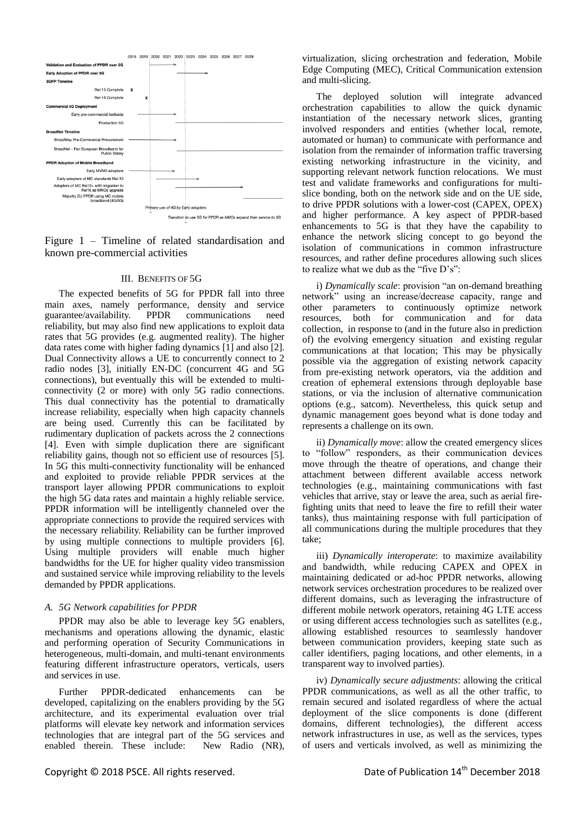

Figure 1 – Timeline of related standardisation and known pre-commercial activities

#### III. BENEFITS OF 5G

The expected benefits of 5G for PPDR fall into three main axes, namely performance, density and service guarantee/availability. PPDR communications need reliability, but may also find new applications to exploit data rates that 5G provides (e.g. augmented reality). The higher data rates come with higher fading dynamics [\[1\]](#page-7-0) and also [\[2\].](#page-7-1) Dual Connectivity allows a UE to concurrently connect to 2 radio nodes [\[3\],](#page-7-2) initially EN-DC (concurrent 4G and 5G connections), but eventually this will be extended to multiconnectivity (2 or more) with only 5G radio connections. This dual connectivity has the potential to dramatically increase reliability, especially when high capacity channels are being used. Currently this can be facilitated by rudimentary duplication of packets across the 2 connections [\[4\].](#page-7-3) Even with simple duplication there are significant reliability gains, though not so efficient use of resources [\[5\].](#page-7-4) In 5G this multi-connectivity functionality will be enhanced and exploited to provide reliable PPDR services at the transport layer allowing PPDR communications to exploit the high 5G data rates and maintain a highly reliable service. PPDR information will be intelligently channeled over the appropriate connections to provide the required services with the necessary reliability. Reliability can be further improved by using multiple connections to multiple providers [\[6\].](#page-7-5) Using multiple providers will enable much higher bandwidths for the UE for higher quality video transmission and sustained service while improving reliability to the levels demanded by PPDR applications.

#### *A. 5G Network capabilities for PPDR*

PPDR may also be able to leverage key 5G enablers, mechanisms and operations allowing the dynamic, elastic and performing operation of Security Communications in heterogeneous, multi-domain, and multi-tenant environments featuring different infrastructure operators, verticals, users and services in use.

Further PPDR-dedicated enhancements can be developed, capitalizing on the enablers providing by the 5G architecture, and its experimental evaluation over trial platforms will elevate key network and information services technologies that are integral part of the 5G services and enabled therein. These include: New Radio (NR),

virtualization, slicing orchestration and federation, Mobile Edge Computing (MEC), Critical Communication extension and multi-slicing.

The deployed solution will integrate advanced orchestration capabilities to allow the quick dynamic instantiation of the necessary network slices, granting involved responders and entities (whether local, remote, automated or human) to communicate with performance and isolation from the remainder of information traffic traversing existing networking infrastructure in the vicinity, and supporting relevant network function relocations. We must test and validate frameworks and configurations for multislice bonding, both on the network side and on the UE side, to drive PPDR solutions with a lower-cost (CAPEX, OPEX) and higher performance. A key aspect of PPDR-based enhancements to 5G is that they have the capability to enhance the network slicing concept to go beyond the isolation of communications in common infrastructure resources, and rather define procedures allowing such slices to realize what we dub as the "five  $D's$ ":

i) *Dynamically scale*: provision "an on-demand breathing network" using an increase/decrease capacity, range and other parameters to continuously optimize network resources, both for communication and for data collection, in response to (and in the future also in prediction of) the evolving emergency situation and existing regular communications at that location; This may be physically possible via the aggregation of existing network capacity from pre-existing network operators, via the addition and creation of ephemeral extensions through deployable base stations, or via the inclusion of alternative communication options (e.g., satcom). Nevertheless, this quick setup and dynamic management goes beyond what is done today and represents a challenge on its own.

ii) *Dynamically move*: allow the created emergency slices to "follow" responders, as their communication devices move through the theatre of operations, and change their attachment between different available access network technologies (e.g., maintaining communications with fast vehicles that arrive, stay or leave the area, such as aerial firefighting units that need to leave the fire to refill their water tanks), thus maintaining response with full participation of all communications during the multiple procedures that they take;

iii) *Dynamically interoperate*: to maximize availability and bandwidth, while reducing CAPEX and OPEX in maintaining dedicated or ad-hoc PPDR networks, allowing network services orchestration procedures to be realized over different domains, such as leveraging the infrastructure of different mobile network operators, retaining 4G LTE access or using different access technologies such as satellites (e.g., allowing established resources to seamlessly handover between communication providers, keeping state such as caller identifiers, paging locations, and other elements, in a transparent way to involved parties).

iv) *Dynamically secure adjustments*: allowing the critical PPDR communications, as well as all the other traffic, to remain secured and isolated regardless of where the actual deployment of the slice components is done (different domains, different technologies), the different access network infrastructures in use, as well as the services, types of users and verticals involved, as well as minimizing the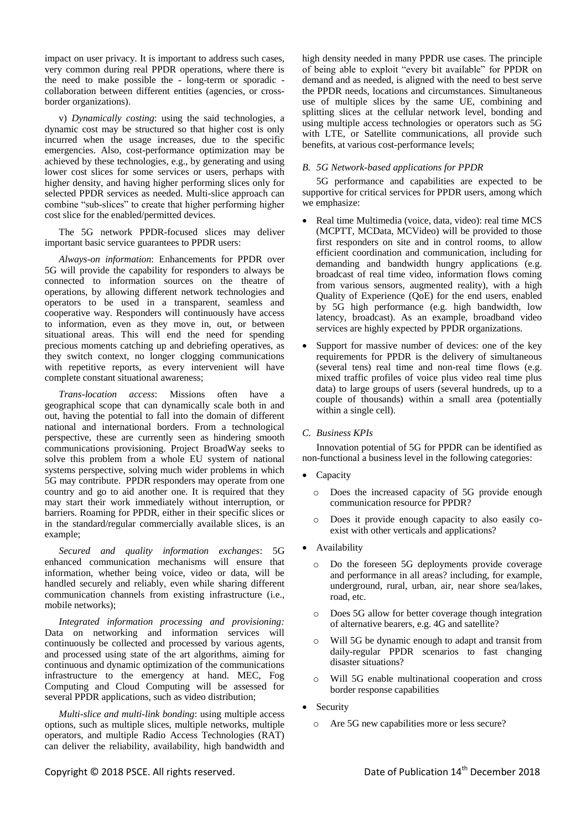impact on user privacy. It is important to address such cases, very common during real PPDR operations, where there is the need to make possible the - long-term or sporadic collaboration between different entities (agencies, or crossborder organizations).

v) *Dynamically costing*: using the said technologies, a dynamic cost may be structured so that higher cost is only incurred when the usage increases, due to the specific emergencies. Also, cost-performance optimization may be achieved by these technologies, e.g., by generating and using lower cost slices for some services or users, perhaps with higher density, and having higher performing slices only for selected PPDR services as needed. Multi-slice approach can combine "sub-slices" to create that higher performing higher cost slice for the enabled/permitted devices.

The 5G network PPDR-focused slices may deliver important basic service guarantees to PPDR users:

*Always-on information*: Enhancements for PPDR over 5G will provide the capability for responders to always be connected to information sources on the theatre of operations, by allowing different network technologies and operators to be used in a transparent, seamless and cooperative way. Responders will continuously have access to information, even as they move in, out, or between situational areas. This will end the need for spending precious moments catching up and debriefing operatives, as they switch context, no longer clogging communications with repetitive reports, as every intervenient will have complete constant situational awareness;

*Trans-location access*: Missions often have a geographical scope that can dynamically scale both in and out, having the potential to fall into the domain of different national and international borders. From a technological perspective, these are currently seen as hindering smooth communications provisioning. Project BroadWay seeks to solve this problem from a whole EU system of national systems perspective, solving much wider problems in which 5G may contribute. PPDR responders may operate from one country and go to aid another one. It is required that they may start their work immediately without interruption, or barriers. Roaming for PPDR, either in their specific slices or in the standard/regular commercially available slices, is an example;

*Secured and quality information exchanges*: 5G enhanced communication mechanisms will ensure that information, whether being voice, video or data, will be handled securely and reliably, even while sharing different communication channels from existing infrastructure (i.e., mobile networks);

*Integrated information processing and provisioning:* Data on networking and information services will continuously be collected and processed by various agents, and processed using state of the art algorithms, aiming for continuous and dynamic optimization of the communications infrastructure to the emergency at hand. MEC, Fog Computing and Cloud Computing will be assessed for several PPDR applications, such as video distribution;

*Multi-slice and multi-link bonding*: using multiple access options, such as multiple slices, multiple networks, multiple operators, and multiple Radio Access Technologies (RAT) can deliver the reliability, availability, high bandwidth and high density needed in many PPDR use cases. The principle of being able to exploit "every bit available" for PPDR on demand and as needed, is aligned with the need to best serve the PPDR needs, locations and circumstances. Simultaneous use of multiple slices by the same UE, combining and splitting slices at the cellular network level, bonding and using multiple access technologies or operators such as 5G with LTE, or Satellite communications, all provide such benefits, at various cost-performance levels;

## *B. 5G Network-based applications for PPDR*

5G performance and capabilities are expected to be supportive for critical services for PPDR users, among which we emphasize:

- Real time Multimedia (voice, data, video): real time MCS (MCPTT, MCData, MCVideo) will be provided to those first responders on site and in control rooms, to allow efficient coordination and communication, including for demanding and bandwidth hungry applications (e.g. broadcast of real time video, information flows coming from various sensors, augmented reality), with a high Quality of Experience (QoE) for the end users, enabled by 5G high performance (e.g. high bandwidth, low latency, broadcast). As an example, broadband video services are highly expected by PPDR organizations.
- Support for massive number of devices: one of the key requirements for PPDR is the delivery of simultaneous (several tens) real time and non-real time flows (e.g. mixed traffic profiles of voice plus video real time plus data) to large groups of users (several hundreds, up to a couple of thousands) within a small area (potentially within a single cell).

# *C. Business KPIs*

Innovation potential of 5G for PPDR can be identified as non-functional a business level in the following categories:

- Capacity
	- o Does the increased capacity of 5G provide enough communication resource for PPDR?
	- Does it provide enough capacity to also easily coexist with other verticals and applications?
- Availability
	- Do the foreseen 5G deployments provide coverage and performance in all areas? including, for example, underground, rural, urban, air, near shore sea/lakes, road, etc.
	- o Does 5G allow for better coverage though integration of alternative bearers, e.g. 4G and satellite?
	- o Will 5G be dynamic enough to adapt and transit from daily-regular PPDR scenarios to fast changing disaster situations?
	- o Will 5G enable multinational cooperation and cross border response capabilities
- Security
	- o Are 5G new capabilities more or less secure?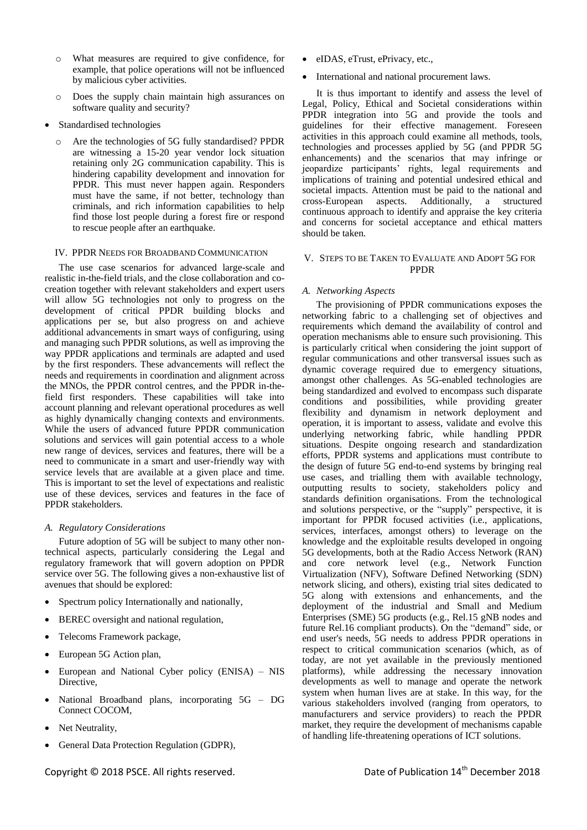- o What measures are required to give confidence, for example, that police operations will not be influenced by malicious cyber activities.
- o Does the supply chain maintain high assurances on software quality and security?
- Standardised technologies
	- o Are the technologies of 5G fully standardised? PPDR are witnessing a 15-20 year vendor lock situation retaining only 2G communication capability. This is hindering capability development and innovation for PPDR. This must never happen again. Responders must have the same, if not better, technology than criminals, and rich information capabilities to help find those lost people during a forest fire or respond to rescue people after an earthquake.

### IV. PPDR NEEDS FOR BROADBAND COMMUNICATION

The use case scenarios for advanced large-scale and realistic in-the-field trials, and the close collaboration and cocreation together with relevant stakeholders and expert users will allow 5G technologies not only to progress on the development of critical PPDR building blocks and applications per se, but also progress on and achieve additional advancements in smart ways of configuring, using and managing such PPDR solutions, as well as improving the way PPDR applications and terminals are adapted and used by the first responders. These advancements will reflect the needs and requirements in coordination and alignment across the MNOs, the PPDR control centres, and the PPDR in-thefield first responders. These capabilities will take into account planning and relevant operational procedures as well as highly dynamically changing contexts and environments. While the users of advanced future PPDR communication solutions and services will gain potential access to a whole new range of devices, services and features, there will be a need to communicate in a smart and user-friendly way with service levels that are available at a given place and time. This is important to set the level of expectations and realistic use of these devices, services and features in the face of PPDR stakeholders.

#### *A. Regulatory Considerations*

Future adoption of 5G will be subject to many other nontechnical aspects, particularly considering the Legal and regulatory framework that will govern adoption on PPDR service over 5G. The following gives a non-exhaustive list of avenues that should be explored:

- Spectrum policy Internationally and nationally,
- BEREC oversight and national regulation,
- Telecoms Framework package,
- European 5G Action plan,
- European and National Cyber policy (ENISA) NIS Directive,
- National Broadband plans, incorporating 5G DG Connect COCOM,
- Net Neutrality,
- General Data Protection Regulation (GDPR),
- eIDAS, eTrust, ePrivacy, etc.,
	- International and national procurement laws.

It is thus important to identify and assess the level of Legal, Policy, Ethical and Societal considerations within PPDR integration into 5G and provide the tools and guidelines for their effective management. Foreseen activities in this approach could examine all methods, tools, technologies and processes applied by 5G (and PPDR 5G enhancements) and the scenarios that may infringe or jeopardize participants' rights, legal requirements and implications of training and potential undesired ethical and societal impacts. Attention must be paid to the national and cross-European aspects. Additionally, a structured continuous approach to identify and appraise the key criteria and concerns for societal acceptance and ethical matters should be taken.

# V. STEPS TO BE TAKEN TO EVALUATE AND ADOPT 5G FOR PPDR

#### *A. Networking Aspects*

The provisioning of PPDR communications exposes the networking fabric to a challenging set of objectives and requirements which demand the availability of control and operation mechanisms able to ensure such provisioning. This is particularly critical when considering the joint support of regular communications and other transversal issues such as dynamic coverage required due to emergency situations, amongst other challenges. As 5G-enabled technologies are being standardized and evolved to encompass such disparate conditions and possibilities, while providing greater flexibility and dynamism in network deployment and operation, it is important to assess, validate and evolve this underlying networking fabric, while handling PPDR situations. Despite ongoing research and standardization efforts, PPDR systems and applications must contribute to the design of future 5G end-to-end systems by bringing real use cases, and trialling them with available technology, outputting results to society, stakeholders policy and standards definition organisations. From the technological and solutions perspective, or the "supply" perspective, it is important for PPDR focused activities (i.e., applications, services, interfaces, amongst others) to leverage on the knowledge and the exploitable results developed in ongoing 5G developments, both at the Radio Access Network (RAN) and core network level (e.g., Network Function Virtualization (NFV), Software Defined Networking (SDN) network slicing, and others), existing trial sites dedicated to 5G along with extensions and enhancements, and the deployment of the industrial and Small and Medium Enterprises (SME) 5G products (e.g., Rel.15 gNB nodes and future Rel.16 compliant products). On the "demand" side, or end user's needs, 5G needs to address PPDR operations in respect to critical communication scenarios (which, as of today, are not yet available in the previously mentioned platforms), while addressing the necessary innovation developments as well to manage and operate the network system when human lives are at stake. In this way, for the various stakeholders involved (ranging from operators, to manufacturers and service providers) to reach the PPDR market, they require the development of mechanisms capable of handling life-threatening operations of ICT solutions.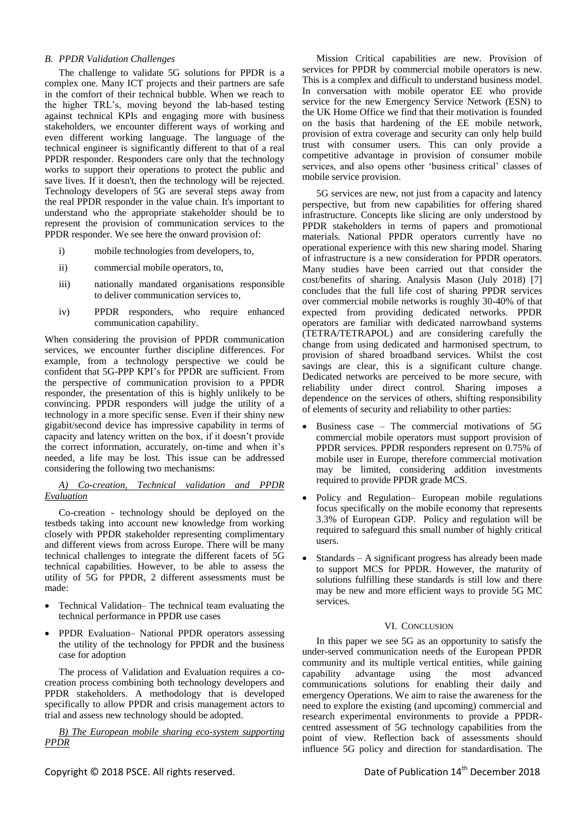# *B. PPDR Validation Challenges*

The challenge to validate 5G solutions for PPDR is a complex one. Many ICT projects and their partners are safe in the comfort of their technical bubble. When we reach to the higher TRL's, moving beyond the lab-based testing against technical KPIs and engaging more with business stakeholders, we encounter different ways of working and even different working language. The language of the technical engineer is significantly different to that of a real PPDR responder. Responders care only that the technology works to support their operations to protect the public and save lives. If it doesn't, then the technology will be rejected. Technology developers of 5G are several steps away from the real PPDR responder in the value chain. It's important to understand who the appropriate stakeholder should be to represent the provision of communication services to the PPDR responder. We see here the onward provision of:

- i) mobile technologies from developers, to,
- ii) commercial mobile operators, to,
- iii) nationally mandated organisations responsible to deliver communication services to,
- iv) PPDR responders, who require enhanced communication capability.

When considering the provision of PPDR communication services, we encounter further discipline differences. For example, from a technology perspective we could be confident that 5G-PPP KPI's for PPDR are sufficient. From the perspective of communication provision to a PPDR responder, the presentation of this is highly unlikely to be convincing. PPDR responders will judge the utility of a technology in a more specific sense. Even if their shiny new gigabit/second device has impressive capability in terms of capacity and latency written on the box, if it doesn't provide the correct information, accurately, on-time and when it's needed, a life may be lost. This issue can be addressed considering the following two mechanisms:

# *A) Co-creation, Technical validation and PPDR Evaluation*

Co-creation - technology should be deployed on the testbeds taking into account new knowledge from working closely with PPDR stakeholder representing complimentary and different views from across Europe. There will be many technical challenges to integrate the different facets of 5G technical capabilities. However, to be able to assess the utility of 5G for PPDR, 2 different assessments must be made:

- Technical Validation– The technical team evaluating the technical performance in PPDR use cases
- PPDR Evaluation– National PPDR operators assessing the utility of the technology for PPDR and the business case for adoption

The process of Validation and Evaluation requires a cocreation process combining both technology developers and PPDR stakeholders. A methodology that is developed specifically to allow PPDR and crisis management actors to trial and assess new technology should be adopted.

*B) The European mobile sharing eco-system supporting PPDR*

Mission Critical capabilities are new. Provision of services for PPDR by commercial mobile operators is new. This is a complex and difficult to understand business model. In conversation with mobile operator EE who provide service for the new Emergency Service Network (ESN) to the UK Home Office we find that their motivation is founded on the basis that hardening of the EE mobile network, provision of extra coverage and security can only help build trust with consumer users. This can only provide a competitive advantage in provision of consumer mobile services, and also opens other 'business critical' classes of mobile service provision.

5G services are new, not just from a capacity and latency perspective, but from new capabilities for offering shared infrastructure. Concepts like slicing are only understood by PPDR stakeholders in terms of papers and promotional materials. National PPDR operators currently have no operational experience with this new sharing model. Sharing of infrastructure is a new consideration for PPDR operators. Many studies have been carried out that consider the cost/benefits of sharing. Analysis Mason (July 2018) [\[7\]](#page-7-6) concludes that the full life cost of sharing PPDR services over commercial mobile networks is roughly 30-40% of that expected from providing dedicated networks. PPDR operators are familiar with dedicated narrowband systems (TETRA/TETRAPOL) and are considering carefully the change from using dedicated and harmonised spectrum, to provision of shared broadband services. Whilst the cost savings are clear, this is a significant culture change. Dedicated networks are perceived to be more secure, with reliability under direct control. Sharing imposes a dependence on the services of others, shifting responsibility of elements of security and reliability to other parties:

- Business case The commercial motivations of 5G commercial mobile operators must support provision of PPDR services. PPDR responders represent on 0.75% of mobile user in Europe, therefore commercial motivation may be limited, considering addition investments required to provide PPDR grade MCS.
- Policy and Regulation– European mobile regulations focus specifically on the mobile economy that represents 3.3% of European GDP. Policy and regulation will be required to safeguard this small number of highly critical users.
- Standards A significant progress has already been made to support MCS for PPDR. However, the maturity of solutions fulfilling these standards is still low and there may be new and more efficient ways to provide 5G MC services.

#### VI. CONCLUSION

In this paper we see 5G as an opportunity to satisfy the under-served communication needs of the European PPDR community and its multiple vertical entities, while gaining capability advantage using the most advanced communications solutions for enabling their daily and emergency Operations. We aim to raise the awareness for the need to explore the existing (and upcoming) commercial and research experimental environments to provide a PPDRcentred assessment of 5G technology capabilities from the point of view. Reflection back of assessments should influence 5G policy and direction for standardisation. The

Copyright © 2018 PSCE. All rights reserved. Date of Publication 14<sup>th</sup> December 2018